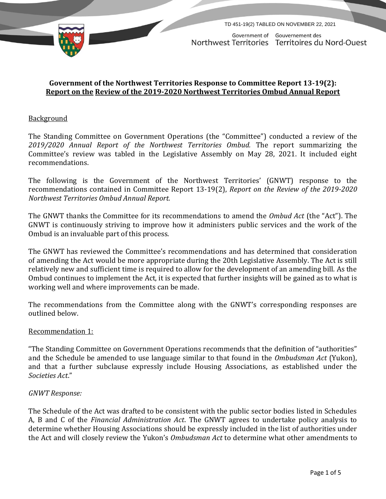

TD 451-19(2) TABLED ON NOVEMBER 22, 2021

Government of Gouvernement des Northwest Territories Territoires du Nord-Ouest

# **Government of the Northwest Territories Response to Committee Report 13-19(2): Report on the Review of the 2019-2020 Northwest Territories Ombud Annual Report**

## Background

The Standing Committee on Government Operations (the "Committee") conducted a review of the *2019/2020 Annual Report of the Northwest Territories Ombud.* The report summarizing the Committee's review was tabled in the Legislative Assembly on May 28, 2021. It included eight recommendations.

The following is the Government of the Northwest Territories' (GNWT) response to the recommendations contained in Committee Report 13-19(2), *Report on the Review of the 2019-2020 Northwest Territories Ombud Annual Report.*

The GNWT thanks the Committee for its recommendations to amend the *Ombud Act* (the "Act"). The GNWT is continuously striving to improve how it administers public services and the work of the Ombud is an invaluable part of this process.

The GNWT has reviewed the Committee's recommendations and has determined that consideration of amending the Act would be more appropriate during the 20th Legislative Assembly. The Act is still relatively new and sufficient time is required to allow for the development of an amending bill. As the Ombud continues to implement the Act, it is expected that further insights will be gained as to what is working well and where improvements can be made.

The recommendations from the Committee along with the GNWT's corresponding responses are outlined below.

#### Recommendation 1:

"The Standing Committee on Government Operations recommends that the definition of "authorities" and the Schedule be amended to use language similar to that found in the *Ombudsman Act* (Yukon), and that a further subclause expressly include Housing Associations, as established under the *Societies Act*."

#### *GNWT Response:*

The Schedule of the Act was drafted to be consistent with the public sector bodies listed in Schedules A, B and C of the *Financial Administration Act*. The GNWT agrees to undertake policy analysis to determine whether Housing Associations should be expressly included in the list of authorities under the Act and will closely review the Yukon's *Ombudsman Act* to determine what other amendments to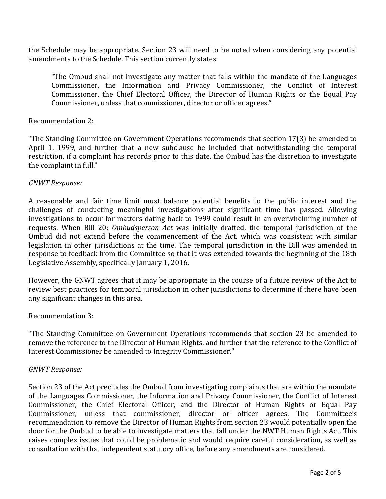the Schedule may be appropriate. Section 23 will need to be noted when considering any potential amendments to the Schedule. This section currently states:

"The Ombud shall not investigate any matter that falls within the mandate of the Languages Commissioner, the Information and Privacy Commissioner, the Conflict of Interest Commissioner, the Chief Electoral Officer, the Director of Human Rights or the Equal Pay Commissioner, unless that commissioner, director or officer agrees."

#### Recommendation 2:

"The Standing Committee on Government Operations recommends that section 17(3) be amended to April 1, 1999, and further that a new subclause be included that notwithstanding the temporal restriction, if a complaint has records prior to this date, the Ombud has the discretion to investigate the complaint in full."

#### *GNWT Response:*

A reasonable and fair time limit must balance potential benefits to the public interest and the challenges of conducting meaningful investigations after significant time has passed. Allowing investigations to occur for matters dating back to 1999 could result in an overwhelming number of requests. When Bill 20: *Ombudsperson Act* was initially drafted, the temporal jurisdiction of the Ombud did not extend before the commencement of the Act, which was consistent with similar legislation in other jurisdictions at the time. The temporal jurisdiction in the Bill was amended in response to feedback from the Committee so that it was extended towards the beginning of the 18th Legislative Assembly, specifically January 1, 2016.

However, the GNWT agrees that it may be appropriate in the course of a future review of the Act to review best practices for temporal jurisdiction in other jurisdictions to determine if there have been any significant changes in this area.

#### Recommendation 3:

"The Standing Committee on Government Operations recommends that section 23 be amended to remove the reference to the Director of Human Rights, and further that the reference to the Conflict of Interest Commissioner be amended to Integrity Commissioner."

#### *GNWT Response:*

Section 23 of the Act precludes the Ombud from investigating complaints that are within the mandate of the Languages Commissioner, the Information and Privacy Commissioner, the Conflict of Interest Commissioner, the Chief Electoral Officer, and the Director of Human Rights or Equal Pay Commissioner, unless that commissioner, director or officer agrees. The Committee's recommendation to remove the Director of Human Rights from section 23 would potentially open the door for the Ombud to be able to investigate matters that fall under the NWT Human Rights Act. This raises complex issues that could be problematic and would require careful consideration, as well as consultation with that independent statutory office, before any amendments are considered.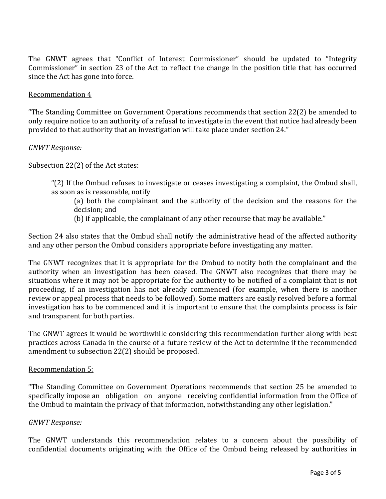The GNWT agrees that "Conflict of Interest Commissioner" should be updated to "Integrity Commissioner" in section 23 of the Act to reflect the change in the position title that has occurred since the Act has gone into force.

#### Recommendation 4

"The Standing Committee on Government Operations recommends that section 22(2) be amended to only require notice to an authority of a refusal to investigate in the event that notice had already been provided to that authority that an investigation will take place under section 24."

#### *GNWT Response:*

Subsection 22(2) of the Act states:

"(2) If the Ombud refuses to investigate or ceases investigating a complaint, the Ombud shall, as soon as is reasonable, notify

(a) both the complainant and the authority of the decision and the reasons for the decision; and

(b) if applicable, the complainant of any other recourse that may be available."

Section 24 also states that the Ombud shall notify the administrative head of the affected authority and any other person the Ombud considers appropriate before investigating any matter.

The GNWT recognizes that it is appropriate for the Ombud to notify both the complainant and the authority when an investigation has been ceased. The GNWT also recognizes that there may be situations where it may not be appropriate for the authority to be notified of a complaint that is not proceeding, if an investigation has not already commenced (for example, when there is another review or appeal process that needs to be followed). Some matters are easily resolved before a formal investigation has to be commenced and it is important to ensure that the complaints process is fair and transparent for both parties.

The GNWT agrees it would be worthwhile considering this recommendation further along with best practices across Canada in the course of a future review of the Act to determine if the recommended amendment to subsection 22(2) should be proposed.

#### Recommendation 5:

"The Standing Committee on Government Operations recommends that section 25 be amended to specifically impose an obligation on anyone receiving confidential information from the Office of the Ombud to maintain the privacy of that information, notwithstanding any other legislation."

#### *GNWT Response:*

The GNWT understands this recommendation relates to a concern about the possibility of confidential documents originating with the Office of the Ombud being released by authorities in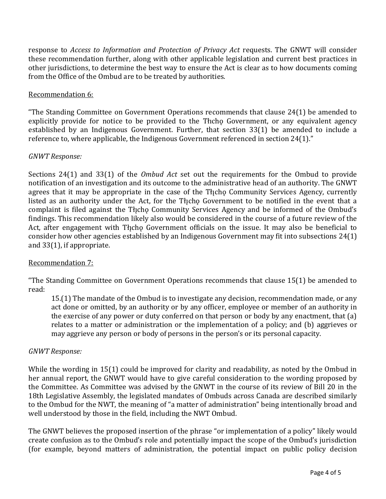response to *Access to Information and Protection of Privacy Act* requests. The GNWT will consider these recommendation further, along with other applicable legislation and current best practices in other jurisdictions, to determine the best way to ensure the Act is clear as to how documents coming from the Office of the Ombud are to be treated by authorities.

## Recommendation 6:

"The Standing Committee on Government Operations recommends that clause 24(1) be amended to explicitly provide for notice to be provided to the Thcho Government, or any equivalent agency established by an Indigenous Government. Further, that section 33(1) be amended to include a reference to, where applicable, the Indigenous Government referenced in section 24(1)."

## *GNWT Response:*

Sections 24(1) and 33(1) of the *Ombud Act* set out the requirements for the Ombud to provide notification of an investigation and its outcome to the administrative head of an authority. The GNWT agrees that it may be appropriate in the case of the Thcho Community Services Agency, currently listed as an authority under the Act, for the Tłįcho Government to be notified in the event that a complaint is filed against the Thcho Community Services Agency and be informed of the Ombud's findings. This recommendation likely also would be considered in the course of a future review of the Act, after engagement with Tłįcho Government officials on the issue. It may also be beneficial to consider how other agencies established by an Indigenous Government may fit into subsections 24(1) and 33(1), if appropriate.

# Recommendation 7:

"The Standing Committee on Government Operations recommends that clause 15(1) be amended to read:

15.(1) The mandate of the Ombud is to investigate any decision, recommendation made, or any act done or omitted, by an authority or by any officer, employee or member of an authority in the exercise of any power or duty conferred on that person or body by any enactment, that (a) relates to a matter or administration or the implementation of a policy; and (b) aggrieves or may aggrieve any person or body of persons in the person's or its personal capacity.

#### *GNWT Response:*

While the wording in 15(1) could be improved for clarity and readability, as noted by the Ombud in her annual report, the GNWT would have to give careful consideration to the wording proposed by the Committee. As Committee was advised by the GNWT in the course of its review of Bill 20 in the 18th Legislative Assembly, the legislated mandates of Ombuds across Canada are described similarly to the Ombud for the NWT, the meaning of "a matter of administration" being intentionally broad and well understood by those in the field, including the NWT Ombud.

The GNWT believes the proposed insertion of the phrase "or implementation of a policy" likely would create confusion as to the Ombud's role and potentially impact the scope of the Ombud's jurisdiction (for example, beyond matters of administration, the potential impact on public policy decision